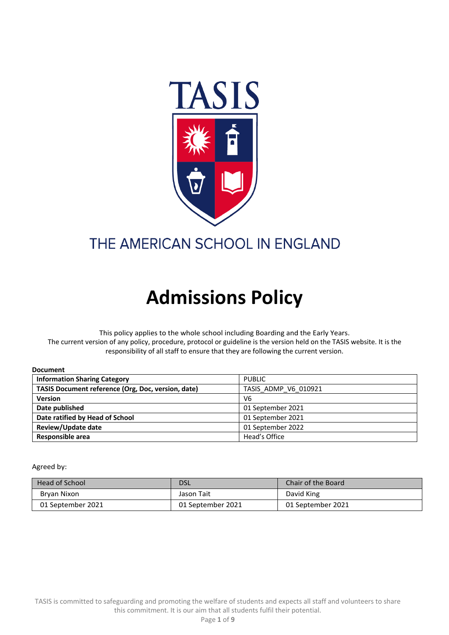

# THE AMERICAN SCHOOL IN ENGLAND

# **Admissions Policy**

This policy applies to the whole school including Boarding and the Early Years. The current version of any policy, procedure, protocol or guideline is the version held on the TASIS website. It is the responsibility of all staff to ensure that they are following the current version.

| ----------                                         |                      |  |
|----------------------------------------------------|----------------------|--|
| <b>Information Sharing Category</b>                | <b>PUBLIC</b>        |  |
| TASIS Document reference (Org, Doc, version, date) | TASIS ADMP V6 010921 |  |
| <b>Version</b>                                     | V <sub>6</sub>       |  |
| Date published                                     | 01 September 2021    |  |
| Date ratified by Head of School                    | 01 September 2021    |  |
| Review/Update date                                 | 01 September 2022    |  |
| Responsible area                                   | Head's Office        |  |

Agreed by:

**Document** 

| <b>Head of School</b> | DSL               | Chair of the Board |
|-----------------------|-------------------|--------------------|
| Bryan Nixon           | Jason Tait        | David King         |
| 01 September 2021     | 01 September 2021 | 01 September 2021  |

TASIS is committed to safeguarding and promoting the welfare of students and expects all staff and volunteers to share this commitment. It is our aim that all students fulfil their potential.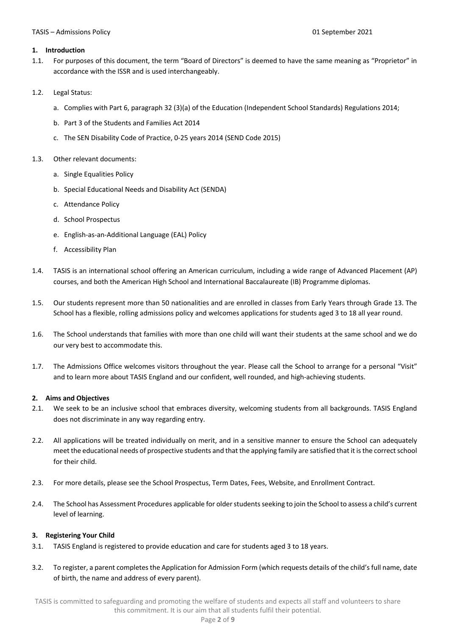#### **1. Introduction**

- 1.1. For purposes of this document, the term "Board of Directors" is deemed to have the same meaning as "Proprietor" in accordance with the ISSR and is used interchangeably.
- 1.2. Legal Status:
	- a. Complies with Part 6, paragraph 32 (3)(a) of the Education (Independent School Standards) Regulations 2014;
	- b. Part 3 of the Students and Families Act 2014
	- c. The SEN Disability Code of Practice, 0-25 years 2014 (SEND Code 2015)

#### 1.3. Other relevant documents:

- a. Single Equalities Policy
- b. Special Educational Needs and Disability Act (SENDA)
- c. Attendance Policy
- d. School Prospectus
- e. English-as-an-Additional Language (EAL) Policy
- f. Accessibility Plan
- 1.4. TASIS is an international school offering an American curriculum, including a wide range of Advanced Placement (AP) courses, and both the American High School and International Baccalaureate (IB) Programme diplomas.
- 1.5. Our students represent more than 50 nationalities and are enrolled in classes from Early Years through Grade 13. The School has a flexible, rolling admissions policy and welcomes applications for students aged 3 to 18 all year round.
- 1.6. The School understands that families with more than one child will want their students at the same school and we do our very best to accommodate this.
- 1.7. The Admissions Office welcomes visitors throughout the year. Please call the School to arrange for a personal "Visit" and to learn more about TASIS England and our confident, well rounded, and high-achieving students.

#### **2. Aims and Objectives**

- 2.1. We seek to be an inclusive school that embraces diversity, welcoming students from all backgrounds. TASIS England does not discriminate in any way regarding entry.
- 2.2. All applications will be treated individually on merit, and in a sensitive manner to ensure the School can adequately meet the educational needs of prospective students and that the applying family are satisfied that it is the correct school for their child.
- 2.3. For more details, please see the School Prospectus, Term Dates, Fees, Website, and Enrollment Contract.
- 2.4. The School has Assessment Procedures applicable for older students seeking to join the School to assess a child's current level of learning.

#### **3. Registering Your Child**

- 3.1. TASIS England is registered to provide education and care for students aged 3 to 18 years.
- 3.2. To register, a parent completes the Application for Admission Form (which requests details of the child's full name, date of birth, the name and address of every parent).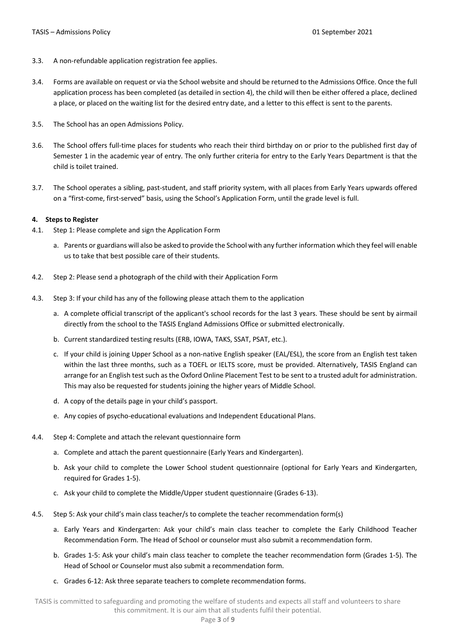- 3.3. A non-refundable application registration fee applies.
- 3.4. Forms are available on request or via the School website and should be returned to the Admissions Office. Once the full application process has been completed (as detailed in section 4), the child will then be either offered a place, declined a place, or placed on the waiting list for the desired entry date, and a letter to this effect is sent to the parents.
- 3.5. The School has an open Admissions Policy.
- 3.6. The School offers full-time places for students who reach their third birthday on or prior to the published first day of Semester 1 in the academic year of entry. The only further criteria for entry to the Early Years Department is that the child is toilet trained.
- 3.7. The School operates a sibling, past-student, and staff priority system, with all places from Early Years upwards offered on a "first-come, first-served" basis, using the School's Application Form, until the grade level is full.

# **4. Steps to Register**

- 4.1. Step 1: Please complete and sign the Application Form
	- a. Parents or guardians will also be asked to provide the School with any further information which they feel will enable us to take that best possible care of their students.
- 4.2. Step 2: Please send a photograph of the child with their Application Form
- 4.3. Step 3: If your child has any of the following please attach them to the application
	- a. A complete official transcript of the applicant's school records for the last 3 years. These should be sent by airmail directly from the school to the TASIS England Admissions Office or submitted electronically.
	- b. Current standardized testing results (ERB, IOWA, TAKS, SSAT, PSAT, etc.).
	- c. If your child is joining Upper School as a non-native English speaker (EAL/ESL), the score from an English test taken within the last three months, such as a TOEFL or IELTS score, must be provided. Alternatively, TASIS England can arrange for an English test such as the Oxford Online Placement Test to be sent to a trusted adult for administration. This may also be requested for students joining the higher years of Middle School.
	- d. A copy of the details page in your child's passport.
	- e. Any copies of psycho-educational evaluations and Independent Educational Plans.
- 4.4. Step 4: Complete and attach the relevant questionnaire form
	- a. Complete and attach the parent questionnaire (Early Years and Kindergarten).
	- b. Ask your child to complete the Lower School student questionnaire (optional for Early Years and Kindergarten, required for Grades 1-5).
	- c. Ask your child to complete the Middle/Upper student questionnaire (Grades 6-13).
- 4.5. Step 5: Ask your child's main class teacher/s to complete the teacher recommendation form(s)
	- a. Early Years and Kindergarten: Ask your child's main class teacher to complete the Early Childhood Teacher Recommendation Form. The Head of School or counselor must also submit a recommendation form.
	- b. Grades 1-5: Ask your child's main class teacher to complete the teacher recommendation form (Grades 1-5). The Head of School or Counselor must also submit a recommendation form.
	- c. Grades 6-12: Ask three separate teachers to complete recommendation forms.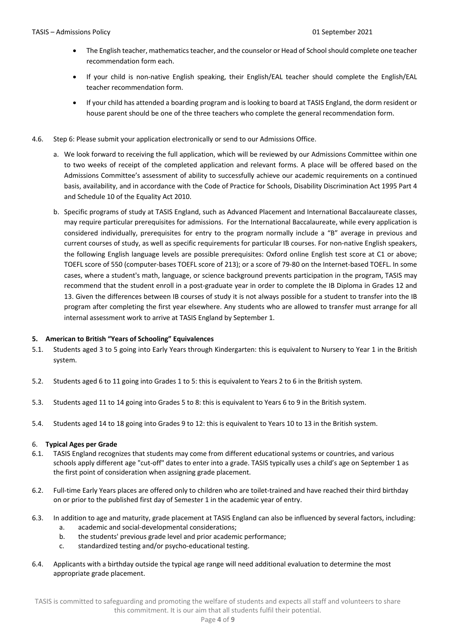- The English teacher, mathematics teacher, and the counselor or Head of School should complete one teacher recommendation form each.
- If your child is non-native English speaking, their English/EAL teacher should complete the English/EAL teacher recommendation form.
- If your child has attended a boarding program and is looking to board at TASIS England, the dorm resident or house parent should be one of the three teachers who complete the general recommendation form.
- 4.6. Step 6: Please submit your application electronically or send to our Admissions Office.
	- a. We look forward to receiving the full application, which will be reviewed by our Admissions Committee within one to two weeks of receipt of the completed application and relevant forms. A place will be offered based on the Admissions Committee's assessment of ability to successfully achieve our academic requirements on a continued basis, availability, and in accordance with the Code of Practice for Schools, Disability Discrimination Act 1995 Part 4 and Schedule 10 of the Equality Act 2010.
	- b. Specific programs of study at TASIS England, such as Advanced Placement and International Baccalaureate classes, may require particular prerequisites for admissions. For the International Baccalaureate, while every application is considered individually, prerequisites for entry to the program normally include a "B" average in previous and current courses of study, as well as specific requirements for particular IB courses. For non-native English speakers, the following English language levels are possible prerequisites: Oxford online English test score at C1 or above; TOEFL score of 550 (computer-bases TOEFL score of 213); or a score of 79-80 on the Internet-based TOEFL. In some cases, where a student's math, language, or science background prevents participation in the program, TASIS may recommend that the student enroll in a post-graduate year in order to complete the IB Diploma in Grades 12 and 13. Given the differences between IB courses of study it is not always possible for a student to transfer into the IB program after completing the first year elsewhere. Any students who are allowed to transfer must arrange for all internal assessment work to arrive at TASIS England by September 1.

# **5. American to British "Years of Schooling" Equivalences**

- 5.1. Students aged 3 to 5 going into Early Years through Kindergarten: this is equivalent to Nursery to Year 1 in the British system.
- 5.2. Students aged 6 to 11 going into Grades 1 to 5: this is equivalent to Years 2 to 6 in the British system.
- 5.3. Students aged 11 to 14 going into Grades 5 to 8: this is equivalent to Years 6 to 9 in the British system.
- 5.4. Students aged 14 to 18 going into Grades 9 to 12: this is equivalent to Years 10 to 13 in the British system.

# 6. **Typical Ages per Grade**

- 6.1. TASIS England recognizes that students may come from different educational systems or countries, and various schools apply different age "cut-off" dates to enter into a grade. TASIS typically uses a child's age on September 1 as the first point of consideration when assigning grade placement.
- 6.2. Full-time Early Years places are offered only to children who are toilet-trained and have reached their third birthday on or prior to the published first day of Semester 1 in the academic year of entry.
- 6.3. In addition to age and maturity, grade placement at TASIS England can also be influenced by several factors, including: a. academic and social-developmental considerations;
	- b. the students' previous grade level and prior academic performance;
	- c. standardized testing and/or psycho-educational testing.
- 6.4. Applicants with a birthday outside the typical age range will need additional evaluation to determine the most appropriate grade placement.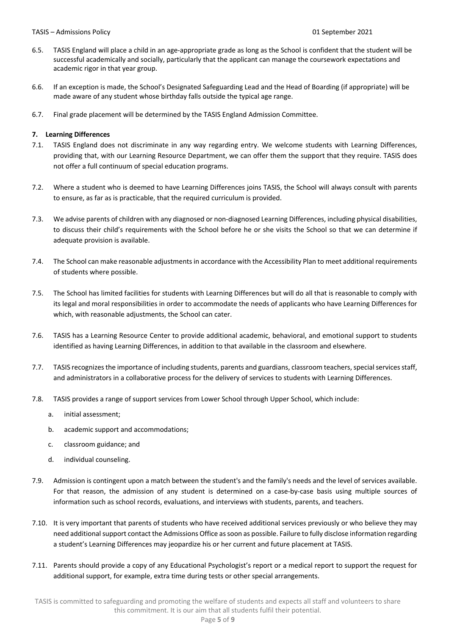#### TASIS – Admissions Policy 01 September 2021

- 6.5. TASIS England will place a child in an age-appropriate grade as long as the School is confident that the student will be successful academically and socially, particularly that the applicant can manage the coursework expectations and academic rigor in that year group.
- 6.6. If an exception is made, the School's Designated Safeguarding Lead and the Head of Boarding (if appropriate) will be made aware of any student whose birthday falls outside the typical age range.
- 6.7. Final grade placement will be determined by the TASIS England Admission Committee.

#### **7. Learning Differences**

- 7.1. TASIS England does not discriminate in any way regarding entry. We welcome students with Learning Differences, providing that, with our Learning Resource Department, we can offer them the support that they require. TASIS does not offer a full continuum of special education programs.
- 7.2. Where a student who is deemed to have Learning Differences joins TASIS, the School will always consult with parents to ensure, as far as is practicable, that the required curriculum is provided.
- 7.3. We advise parents of children with any diagnosed or non-diagnosed Learning Differences, including physical disabilities, to discuss their child's requirements with the School before he or she visits the School so that we can determine if adequate provision is available.
- 7.4. The School can make reasonable adjustments in accordance with the Accessibility Plan to meet additional requirements of students where possible.
- 7.5. The School has limited facilities for students with Learning Differences but will do all that is reasonable to comply with its legal and moral responsibilities in order to accommodate the needs of applicants who have Learning Differences for which, with reasonable adjustments, the School can cater.
- 7.6. TASIS has a Learning Resource Center to provide additional academic, behavioral, and emotional support to students identified as having Learning Differences, in addition to that available in the classroom and elsewhere.
- 7.7. TASIS recognizes the importance of including students, parents and guardians, classroom teachers, special services staff, and administrators in a collaborative process for the delivery of services to students with Learning Differences.
- 7.8. TASIS provides a range of support services from Lower School through Upper School, which include:
	- a. initial assessment;
	- b. academic support and accommodations;
	- c. classroom guidance; and
	- d. individual counseling.
- 7.9. Admission is contingent upon a match between the student's and the family's needs and the level of services available. For that reason, the admission of any student is determined on a case-by-case basis using multiple sources of information such as school records, evaluations, and interviews with students, parents, and teachers.
- 7.10. It is very important that parents of students who have received additional services previously or who believe they may need additional support contact the Admissions Office as soon as possible. Failure to fully disclose information regarding a student's Learning Differences may jeopardize his or her current and future placement at TASIS.
- 7.11. Parents should provide a copy of any Educational Psychologist's report or a medical report to support the request for additional support, for example, extra time during tests or other special arrangements.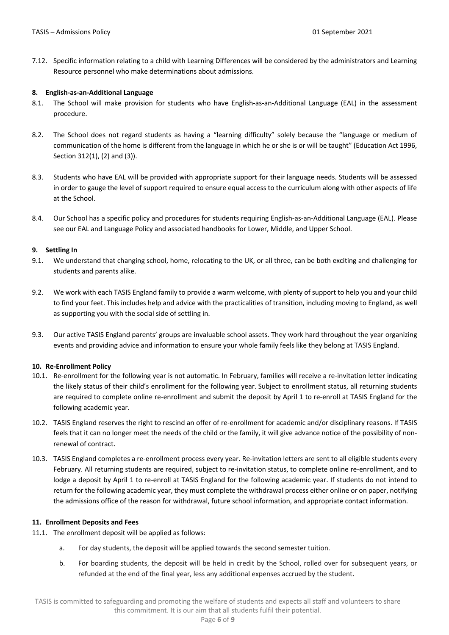7.12. Specific information relating to a child with Learning Differences will be considered by the administrators and Learning Resource personnel who make determinations about admissions.

# **8. English-as-an-Additional Language**

- 8.1. The School will make provision for students who have English-as-an-Additional Language (EAL) in the assessment procedure.
- 8.2. The School does not regard students as having a "learning difficulty" solely because the "language or medium of communication of the home is different from the language in which he or she is or will be taught" (Education Act 1996, Section 312(1), (2) and (3)).
- 8.3. Students who have EAL will be provided with appropriate support for their language needs. Students will be assessed in order to gauge the level of support required to ensure equal access to the curriculum along with other aspects of life at the School.
- 8.4. Our School has a specific policy and procedures for students requiring English-as-an-Additional Language (EAL). Please see our EAL and Language Policy and associated handbooks for Lower, Middle, and Upper School.

# **9. Settling In**

- 9.1. We understand that changing school, home, relocating to the UK, or all three, can be both exciting and challenging for students and parents alike.
- 9.2. We work with each TASIS England family to provide a warm welcome, with plenty of support to help you and your child to find your feet. This includes help and advice with the practicalities of transition, including moving to England, as well as supporting you with the social side of settling in.
- 9.3. Our active TASIS England parents' groups are invaluable school assets. They work hard throughout the year organizing events and providing advice and information to ensure your whole family feels like they belong at TASIS England.

# **10. Re-Enrollment Policy**

- 10.1. Re-enrollment for the following year is not automatic. In February, families will receive a re-invitation letter indicating the likely status of their child's enrollment for the following year. Subject to enrollment status, all returning students are required to complete online re-enrollment and submit the deposit by April 1 to re-enroll at TASIS England for the following academic year.
- 10.2. TASIS England reserves the right to rescind an offer of re-enrollment for academic and/or disciplinary reasons. If TASIS feels that it can no longer meet the needs of the child or the family, it will give advance notice of the possibility of nonrenewal of contract.
- 10.3. TASIS England completes a re-enrollment process every year. Re-invitation letters are sent to all eligible students every February. All returning students are required, subject to re-invitation status, to complete online re-enrollment, and to lodge a deposit by April 1 to re-enroll at TASIS England for the following academic year. If students do not intend to return for the following academic year, they must complete the withdrawal process either online or on paper, notifying the admissions office of the reason for withdrawal, future school information, and appropriate contact information.

# **11. Enrollment Deposits and Fees**

- 11.1. The enrollment deposit will be applied as follows:
	- a. For day students, the deposit will be applied towards the second semester tuition.
	- b. For boarding students, the deposit will be held in credit by the School, rolled over for subsequent years, or refunded at the end of the final year, less any additional expenses accrued by the student.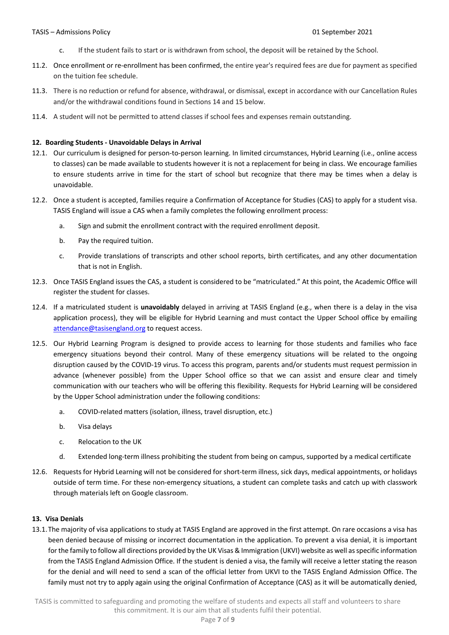- c. If the student fails to start or is withdrawn from school, the deposit will be retained by the School.
- 11.2. Once enrollment or re-enrollment has been confirmed, the entire year's required fees are due for payment as specified on the tuition fee schedule.
- 11.3. There is no reduction or refund for absence, withdrawal, or dismissal, except in accordance with our Cancellation Rules and/or the withdrawal conditions found in Sections 14 and 15 below.
- 11.4. A student will not be permitted to attend classes if school fees and expenses remain outstanding.

#### **12. Boarding Students - Unavoidable Delays in Arrival**

- 12.1. Our curriculum is designed for person-to-person learning. In limited circumstances, Hybrid Learning (i.e., online access to classes) can be made available to students however it is not a replacement for being in class. We encourage families to ensure students arrive in time for the start of school but recognize that there may be times when a delay is unavoidable.
- 12.2. Once a student is accepted, families require a Confirmation of Acceptance for Studies (CAS) to apply for a student visa. TASIS England will issue a CAS when a family completes the following enrollment process:
	- a. Sign and submit the enrollment contract with the required enrollment deposit.
	- b. Pay the required tuition.
	- c. Provide translations of transcripts and other school reports, birth certificates, and any other documentation that is not in English.
- 12.3. Once TASIS England issues the CAS, a student is considered to be "matriculated." At this point, the Academic Office will register the student for classes.
- 12.4. If a matriculated student is **unavoidably** delayed in arriving at TASIS England (e.g., when there is a delay in the visa application process), they will be eligible for Hybrid Learning and must contact the Upper School office by emailing attendance@tasisengland.org to request access.
- 12.5. Our Hybrid Learning Program is designed to provide access to learning for those students and families who face emergency situations beyond their control. Many of these emergency situations will be related to the ongoing disruption caused by the COVID-19 virus. To access this program, parents and/or students must request permission in advance (whenever possible) from the Upper School office so that we can assist and ensure clear and timely communication with our teachers who will be offering this flexibility. Requests for Hybrid Learning will be considered by the Upper School administration under the following conditions:
	- a. COVID-related matters (isolation, illness, travel disruption, etc.)
	- b. Visa delays
	- c. Relocation to the UK
	- d. Extended long-term illness prohibiting the student from being on campus, supported by a medical certificate
- 12.6. Requests for Hybrid Learning will not be considered for short-term illness, sick days, medical appointments, or holidays outside of term time. For these non-emergency situations, a student can complete tasks and catch up with classwork through materials left on Google classroom.

#### **13. Visa Denials**

13.1.The majority of visa applications to study at TASIS England are approved in the first attempt. On rare occasions a visa has been denied because of missing or incorrect documentation in the application. To prevent a visa denial, it is important for the family to follow all directions provided by the UK Visas & Immigration (UKVI) website as well as specific information from the TASIS England Admission Office. If the student is denied a visa, the family will receive a letter stating the reason for the denial and will need to send a scan of the official letter from UKVI to the TASIS England Admission Office. The family must not try to apply again using the original Confirmation of Acceptance (CAS) as it will be automatically denied,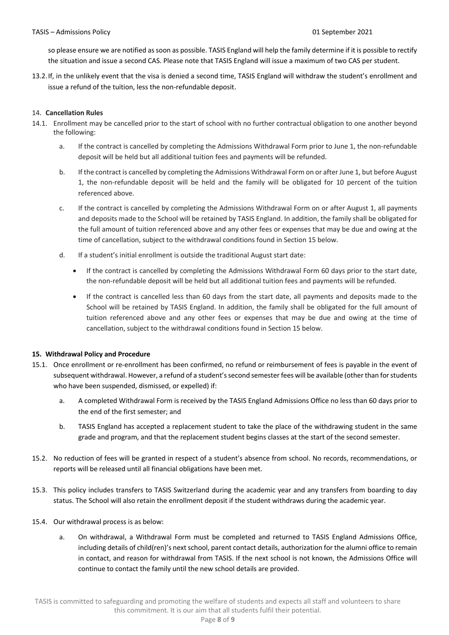so please ensure we are notified as soon as possible. TASIS England will help the family determine if it is possible to rectify the situation and issue a second CAS. Please note that TASIS England will issue a maximum of two CAS per student.

13.2.If, in the unlikely event that the visa is denied a second time, TASIS England will withdraw the student's enrollment and issue a refund of the tuition, less the non-refundable deposit.

# 14. **Cancellation Rules**

- 14.1. Enrollment may be cancelled prior to the start of school with no further contractual obligation to one another beyond the following:
	- a. If the contract is cancelled by completing the Admissions Withdrawal Form prior to June 1, the non-refundable deposit will be held but all additional tuition fees and payments will be refunded.
	- b. If the contract is cancelled by completing the Admissions Withdrawal Form on or after June 1, but before August 1, the non-refundable deposit will be held and the family will be obligated for 10 percent of the tuition referenced above.
	- c. If the contract is cancelled by completing the Admissions Withdrawal Form on or after August 1, all payments and deposits made to the School will be retained by TASIS England. In addition, the family shall be obligated for the full amount of tuition referenced above and any other fees or expenses that may be due and owing at the time of cancellation, subject to the withdrawal conditions found in Section 15 below.
	- d. If a student's initial enrollment is outside the traditional August start date:
		- If the contract is cancelled by completing the Admissions Withdrawal Form 60 days prior to the start date, the non-refundable deposit will be held but all additional tuition fees and payments will be refunded.
		- If the contract is cancelled less than 60 days from the start date, all payments and deposits made to the School will be retained by TASIS England. In addition, the family shall be obligated for the full amount of tuition referenced above and any other fees or expenses that may be due and owing at the time of cancellation, subject to the withdrawal conditions found in Section 15 below.

# **15. Withdrawal Policy and Procedure**

- 15.1. Once enrollment or re-enrollment has been confirmed, no refund or reimbursement of fees is payable in the event of subsequent withdrawal. However, a refund of a student's second semester fees will be available (other than for students who have been suspended, dismissed, or expelled) if:
	- a. A completed Withdrawal Form is received by the TASIS England Admissions Office no less than 60 days prior to the end of the first semester; and
	- b. TASIS England has accepted a replacement student to take the place of the withdrawing student in the same grade and program, and that the replacement student begins classes at the start of the second semester.
- 15.2. No reduction of fees will be granted in respect of a student's absence from school. No records, recommendations, or reports will be released until all financial obligations have been met.
- 15.3. This policy includes transfers to TASIS Switzerland during the academic year and any transfers from boarding to day status. The School will also retain the enrollment deposit if the student withdraws during the academic year.
- 15.4. Our withdrawal process is as below:
	- a. On withdrawal, a Withdrawal Form must be completed and returned to TASIS England Admissions Office, including details of child(ren)'s next school, parent contact details, authorization for the alumni office to remain in contact, and reason for withdrawal from TASIS. If the next school is not known, the Admissions Office will continue to contact the family until the new school details are provided.